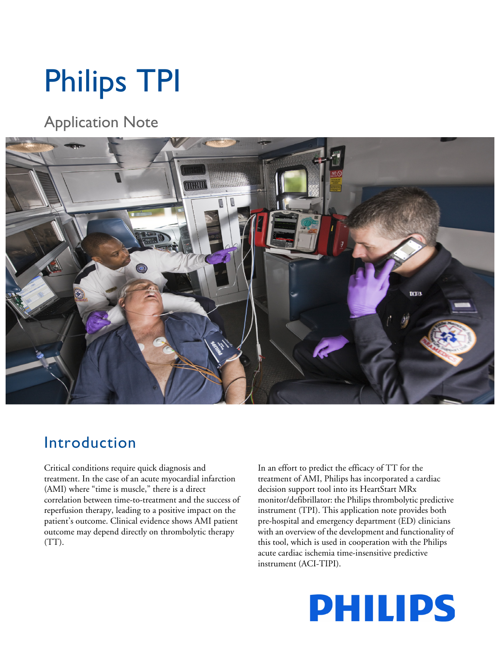# Philips TPI

Application Note



# Introduction

Critical conditions require quick diagnosis and treatment. In the case of an acute myocardial infarction (AMI) where "time is muscle," there is a direct correlation between time-to-treatment and the success of reperfusion therapy, leading to a positive impact on the patient's outcome. Clinical evidence shows AMI patient outcome may depend directly on thrombolytic therapy (TT).

In an effort to predict the efficacy of TT for the treatment of AMI, Philips has incorporated a cardiac decision support tool into its HeartStart MRx monitor/defibrillator: the Philips thrombolytic predictive instrument (TPI). This application note provides both pre-hospital and emergency department (ED) clinicians with an overview of the development and functionality of this tool, which is used in cooperation with the Philips acute cardiac ischemia time-insensitive predictive instrument (ACI-TIPI).

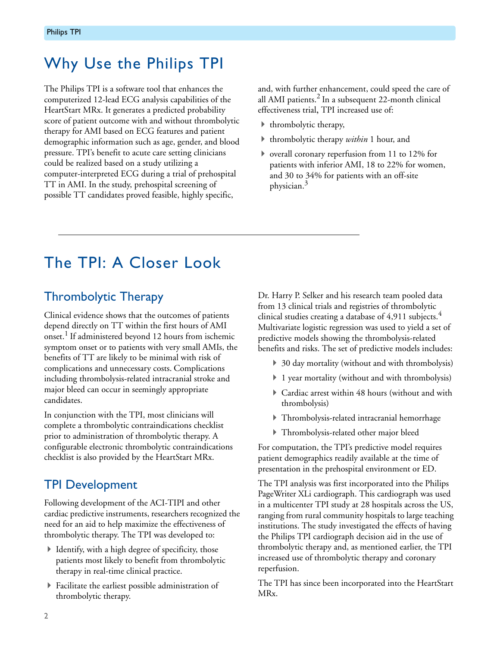# Why Use the Philips TPI

The Philips TPI is a software tool that enhances the computerized 12-lead ECG analysis capabilities of the HeartStart MRx. It generates a predicted probability score of patient outcome with and without thrombolytic therapy for AMI based on ECG features and patient demographic information such as age, gender, and blood pressure. TPI's benefit to acute care setting clinicians could be realized based on a study utilizing a computer-interpreted ECG during a trial of prehospital TT in AMI. In the study, prehospital screening of possible TT candidates proved feasible, highly specific,

and, with further enhancement, could speed the care of all AMI patients.<sup>2</sup> In a subsequent 22-month clinical effectiveness trial, TPI increased use of:

- $\blacktriangleright$  thrombolytic therapy,
- thrombolytic therapy *within* 1 hour, and
- overall coronary reperfusion from 11 to 12% for patients with inferior AMI, 18 to 22% for women, and 30 to 34% for patients with an off-site physician.<sup>3</sup>

# The TPI: A Closer Look

## Thrombolytic Therapy

Clinical evidence shows that the outcomes of patients depend directly on TT within the first hours of AMI onset.<sup>1</sup> If administered beyond 12 hours from ischemic symptom onset or to patients with very small AMIs, the benefits of TT are likely to be minimal with risk of complications and unnecessary costs. Complications including thrombolysis-related intracranial stroke and major bleed can occur in seemingly appropriate candidates.

In conjunction with the TPI, most clinicians will complete a thrombolytic contraindications checklist prior to administration of thrombolytic therapy. A configurable electronic thrombolytic contraindications checklist is also provided by the HeartStart MRx.

## TPI Development

Following development of the ACI-TIPI and other cardiac predictive instruments, researchers recognized the need for an aid to help maximize the effectiveness of thrombolytic therapy. The TPI was developed to:

- $\blacktriangleright$  Identify, with a high degree of specificity, those patients most likely to benefit from thrombolytic therapy in real-time clinical practice.
- Facilitate the earliest possible administration of thrombolytic therapy.

Dr. Harry P. Selker and his research team pooled data from 13 clinical trials and registries of thrombolytic clinical studies creating a database of  $4,911$  subjects.<sup>4</sup> Multivariate logistic regression was used to yield a set of predictive models showing the thrombolysis-related benefits and risks. The set of predictive models includes:

- ▶ 30 day mortality (without and with thrombolysis)
- ▶ 1 year mortality (without and with thrombolysis)
- Cardiac arrest within 48 hours (without and with thrombolysis)
- Thrombolysis-related intracranial hemorrhage
- Thrombolysis-related other major bleed

For computation, the TPI's predictive model requires patient demographics readily available at the time of presentation in the prehospital environment or ED.

The TPI analysis was first incorporated into the Philips PageWriter XLi cardiograph. This cardiograph was used in a multicenter TPI study at 28 hospitals across the US, ranging from rural community hospitals to large teaching institutions. The study investigated the effects of having the Philips TPI cardiograph decision aid in the use of thrombolytic therapy and, as mentioned earlier, the TPI increased use of thrombolytic therapy and coronary reperfusion.

The TPI has since been incorporated into the HeartStart MRx.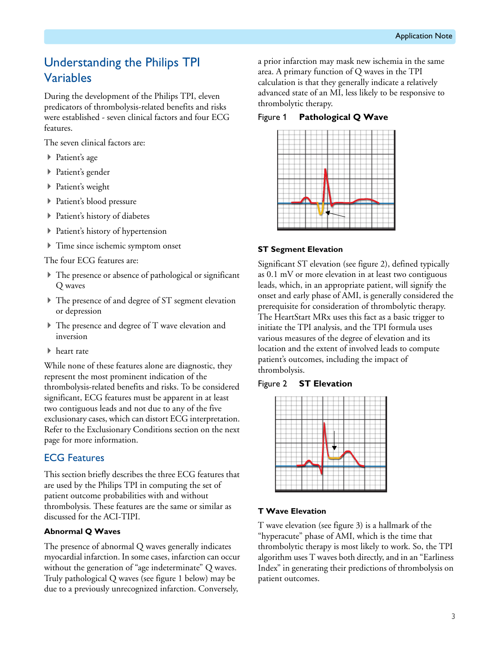## Understanding the Philips TPI Variables

During the development of the Philips TPI, eleven predicators of thrombolysis-related benefits and risks were established - seven clinical factors and four ECG features.

The seven clinical factors are:

- ▶ Patient's age
- ▶ Patient's gender
- ▶ Patient's weight
- Patient's blood pressure
- Patient's history of diabetes
- Patient's history of hypertension
- Time since ischemic symptom onset

The four ECG features are:

- The presence or absence of pathological or significant Q waves
- The presence of and degree of ST segment elevation or depression
- The presence and degree of T wave elevation and inversion
- ▶ heart rate

While none of these features alone are diagnostic, they represent the most prominent indication of the thrombolysis-related benefits and risks. To be considered significant, ECG features must be apparent in at least two contiguous leads and not due to any of the five exclusionary cases, which can distort ECG interpretation. Refer to the Exclusionary Conditions section on the next page for more information.

#### ECG Features

This section briefly describes the three ECG features that are used by the Philips TPI in computing the set of patient outcome probabilities with and without thrombolysis. These features are the same or similar as discussed for the ACI-TIPI.

#### **Abnormal Q Waves**

The presence of abnormal Q waves generally indicates myocardial infarction. In some cases, infarction can occur without the generation of "age indeterminate" Q waves. Truly pathological Q waves (see figure 1 below) may be due to a previously unrecognized infarction. Conversely,

a prior infarction may mask new ischemia in the same area. A primary function of Q waves in the TPI calculation is that they generally indicate a relatively advanced state of an MI, less likely to be responsive to thrombolytic therapy.

Figure 1 **Pathological Q Wave**



#### **ST Segment Elevation**

Significant ST elevation (see figure 2), defined typically as 0.1 mV or more elevation in at least two contiguous leads, which, in an appropriate patient, will signify the onset and early phase of AMI, is generally considered the prerequisite for consideration of thrombolytic therapy. The HeartStart MRx uses this fact as a basic trigger to initiate the TPI analysis, and the TPI formula uses various measures of the degree of elevation and its location and the extent of involved leads to compute patient's outcomes, including the impact of thrombolysis.

#### Figure 2 **ST Elevation**



#### **T Wave Elevation**

T wave elevation (see figure 3) is a hallmark of the "hyperacute" phase of AMI, which is the time that thrombolytic therapy is most likely to work. So, the TPI algorithm uses T waves both directly, and in an "Earliness Index" in generating their predictions of thrombolysis on patient outcomes.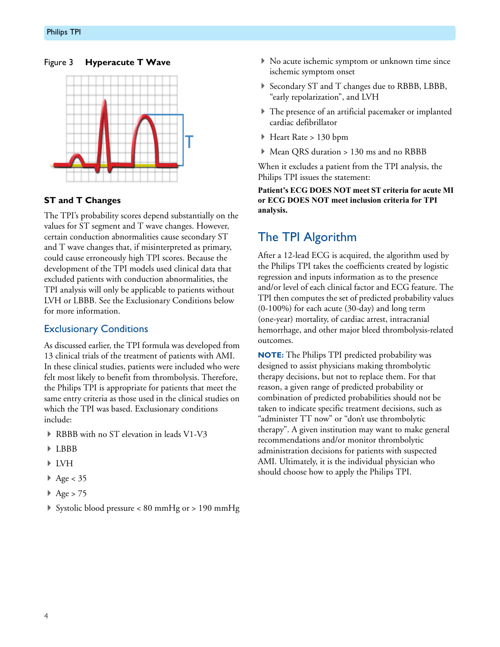#### Figure 3 **Hyperacute T Wave**



#### **ST and T Changes**

The TPI's probability scores depend substantially on the values for ST segment and T wave changes. However, certain conduction abnormalities cause secondary ST and T wave changes that, if misinterpreted as primary, could cause erroneously high TPI scores. Because the development of the TPI models used clinical data that excluded patients with conduction abnormalities, the TPI analysis will only be applicable to patients without LVH or LBBB. See the Exclusionary Conditions below for more information.

#### Exclusionary Conditions

As discussed earlier, the TPI formula was developed from 13 clinical trials of the treatment of patients with AMI. In these clinical studies, patients were included who were felt most likely to benefit from thrombolysis. Therefore, the Philips TPI is appropriate for patients that meet the same entry criteria as those used in the clinical studies on which the TPI was based. Exclusionary conditions include:

- RBBB with no ST elevation in leads V1-V3
- LBBB
- LVH
- $\blacktriangleright$  Age < 35
- $\blacktriangleright$  Age > 75
- Systolic blood pressure < 80 mmHg or > 190 mmHg
- No acute ischemic symptom or unknown time since ischemic symptom onset
- Secondary ST and T changes due to RBBB, LBBB, "early repolarization", and LVH
- The presence of an artificial pacemaker or implanted cardiac defibrillator
- Heart Rate > 130 bpm
- Mean QRS duration > 130 ms and no RBBB

When it excludes a patient from the TPI analysis, the Philips TPI issues the statement:

**Patient's ECG DOES NOT meet ST criteria for acute MI or ECG DOES NOT meet inclusion criteria for TPI analysis.**

## The TPI Algorithm

After a 12-lead ECG is acquired, the algorithm used by the Philips TPI takes the coefficients created by logistic regression and inputs information as to the presence and/or level of each clinical factor and ECG feature. The TPI then computes the set of predicted probability values (0-100%) for each acute (30-day) and long term (one-year) mortality, of cardiac arrest, intracranial hemorrhage, and other major bleed thrombolysis-related outcomes.

**NOTE:** The Philips TPI predicted probability was designed to assist physicians making thrombolytic therapy decisions, but not to replace them. For that reason, a given range of predicted probability or combination of predicted probabilities should not be taken to indicate specific treatment decisions, such as "administer TT now" or "don't use thrombolytic therapy". A given institution may want to make general recommendations and/or monitor thrombolytic administration decisions for patients with suspected AMI. Ultimately, it is the individual physician who should choose how to apply the Philips TPI.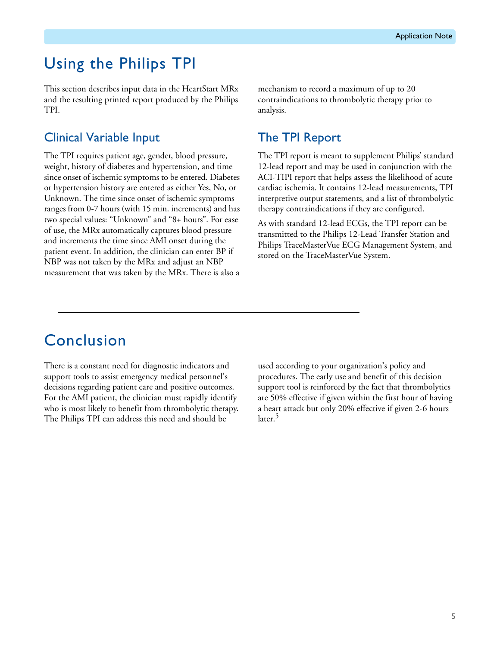# Using the Philips TPI

This section describes input data in the HeartStart MRx and the resulting printed report produced by the Philips TPI.

### Clinical Variable Input

The TPI requires patient age, gender, blood pressure, weight, history of diabetes and hypertension, and time since onset of ischemic symptoms to be entered. Diabetes or hypertension history are entered as either Yes, No, or Unknown. The time since onset of ischemic symptoms ranges from 0-7 hours (with 15 min. increments) and has two special values: "Unknown" and "8+ hours". For ease of use, the MRx automatically captures blood pressure and increments the time since AMI onset during the patient event. In addition, the clinician can enter BP if NBP was not taken by the MRx and adjust an NBP measurement that was taken by the MRx. There is also a

mechanism to record a maximum of up to 20 contraindications to thrombolytic therapy prior to analysis.

## The TPI Report

The TPI report is meant to supplement Philips' standard 12-lead report and may be used in conjunction with the ACI-TIPI report that helps assess the likelihood of acute cardiac ischemia. It contains 12-lead measurements, TPI interpretive output statements, and a list of thrombolytic therapy contraindications if they are configured.

As with standard 12-lead ECGs, the TPI report can be transmitted to the Philips 12-Lead Transfer Station and Philips TraceMasterVue ECG Management System, and stored on the TraceMasterVue System.

# Conclusion

There is a constant need for diagnostic indicators and support tools to assist emergency medical personnel's decisions regarding patient care and positive outcomes. For the AMI patient, the clinician must rapidly identify who is most likely to benefit from thrombolytic therapy. The Philips TPI can address this need and should be

used according to your organization's policy and procedures. The early use and benefit of this decision support tool is reinforced by the fact that thrombolytics are 50% effective if given within the first hour of having a heart attack but only 20% effective if given 2-6 hours later.<sup>5</sup>